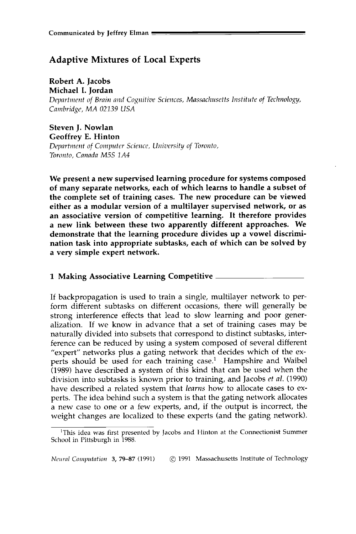# **Adaptive Mixtures of Local Experts**

Robert A. Jacobs Michael I. Jordan

*Department of Brain and Cognitive Sciences, Massachusetts Institute of Technology, Cainbridge, MA 02139 USA* 

Steven J. Nowlan Geoffrey E. Hinton

*Department of Computer Science, University of Toronto, Toronto, Canada M5S 1A4* 

We present a new supervised learning procedure for systems composed of many separate networks, each of which learns to handle a subset of the complete set of training cases. The new procedure can be viewed either as a modular version of a multilayer supervised network, or as **an** associative version of competitive learning. It therefore provides a new link between these two apparently different approaches. We demonstrate that the learning procedure divides up a vowel discrimination task into appropriate subtasks, each of which can be solved by a very simple expert network.

**1** Making Associative Learning Competitive

If backpropagation is used to train a single, multilayer network to perform different subtasks on different occasions, there will generally be strong interference effects that lead to slow learning and **poor** generalization. If we know in advance that a set of training cases may be naturally divided into subsets that correspond to distinct subtasks, interference can be reduced by using a system composed of several different "expert" networks plus a gating network that decides which of the experts should be used for each training case.' Hampshire and Waibel (1989) have described a system of this kind that can be used when the division into subtasks is known prior to training, and Jacobs ef *al.* (1990) have described a related system that *learns* how to allocate cases to experts. The idea behind such a system is that the gating network allocates a new case to one or a few experts, and, if the output is incorrect, the weight changes are localized to these experts (and the gating network).

*Nwml Corripiitntiori* **3, 79-87** (1991) @ 1991 Massachusetts Institute of Technology

<sup>&#</sup>x27;This idea was first presented by Jacobs and Hinton at the Connectionist Summer School in Pittsburgh in 1988.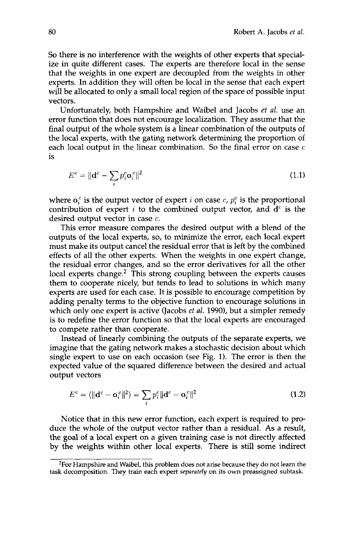So there is no interference with the weights of other experts that specialize in quite different cases. The experts are therefore local in the sense that the weights in one expert are decoupled from the weights in other experts. In addition they will often be local in the sense that each expert will be allocated to only a small local region of the space of possible input vectors.

Unfortunately, both Hampshire and Waibel and Jacobs *et al.* use an error function that does not encourage localization. They assume that the final output of the whole system is a linear combination of the outputs of the local experts, with the gating network determining the proportion of each local output in the linear combination. So the final error on case *c*  is

$$
E^c = \|\mathbf{d}^c - \sum_i p_i^c \mathbf{o}_i^c\|^2 \tag{1.1}
$$

where  $\mathbf{o}_i^c$  is the output vector of expert *i* on case *c*,  $p_i^c$  is the proportional contribution of expert  $i$  to the combined output vector, and  $d^c$  is the desired output vector in case  $c$ .

This error measure compares the desired output with a blend of the outputs **of** the local experts, so, to minimize the error, each local expert must make its output cancel the residual error that is left by the combined effects of all the other experts. When the weights in one expert change, the residual error changes, and so the error derivatives for all the other local experts change.<sup>2</sup> This strong coupling between the experts causes them to cooperate nicely, but tends to lead to solutions in which many experts are used for each case. It is possible to encourage competition by adding penalty terms to the objective function to encourage solutions in which only one expert is active (Jacobs *et 41.* 1990), but a simpler remedy is to redefine the error function so that the local experts are encouraged to compete rather than cooperate.

Instead of linearly combining the outputs of the separate experts, we imagine that the gating network makes a stochastic decision about which single expert to use on each occasion (see Fig. 1). The error is then the expected value of the squared difference between the desired and actual output vectors

$$
E^{c} = \langle ||\mathbf{d}^{c} - \mathbf{o}_{i}^{c}||^{2} \rangle = \sum_{i} p_{i}^{c}||\mathbf{d}^{c} - \mathbf{o}_{i}^{c}||^{2}
$$
\n(1.2)

Notice that in this new error function, each expert is required to produce the whole of the output vector rather than a residual. **As** a result, the goal of a local expert on a given training case is not directly affected by the weights within other local experts. There is still some indirect

<sup>&</sup>lt;sup>2</sup>For Hampshire and Waibel, this problem does not arise because they do not learn the task decomposition. They train each expert *separately* on its **own** preassigned subtask.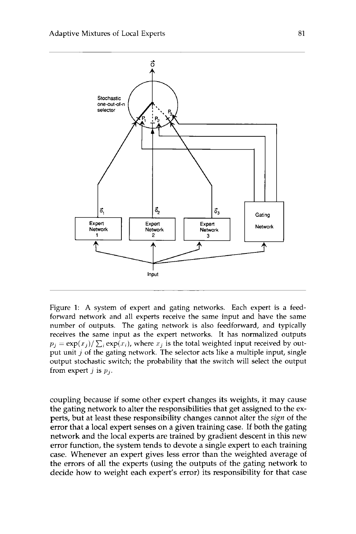

Figure **1:** A system of expert and gating networks. Each expert is a feedforward network and all experts receive the same input and have the same number of outputs. The gating network is also feedforward, and typically receives the same input as the expert networks. It has normalized outputs  $p_i = \exp(x_i)/\sum_i \exp(x_i)$ , where  $x_i$  is the total weighted input received by output unit *J* of the gating network. The selector acts like a multiple input, single output stochastic switch; the probability that the switch will select the output from expert *j* is  $p_i$ .

coupling because if some other expert changes its weights, it may cause the gating network to alter the responsibilities that get assigned to the experts, but at least these responsibility changes cannot alter the *sign* of the error that a local expert senses on a given training case. If both the gating network and the local experts are trained by gradient descent in this new error function, the system tends to devote a single expert to each training case. Whenever an expert gives less error than the weighted average of the errors of all the experts (using the outputs of the gating network to decide how to weight each expert's error) its responsibility for that case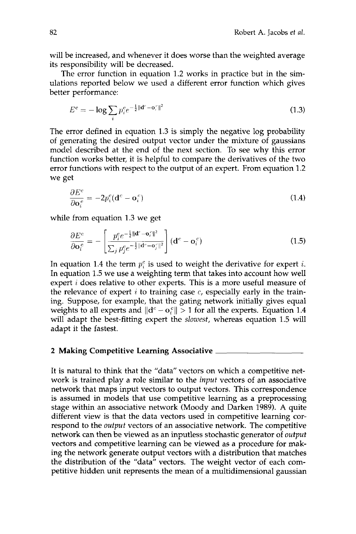will be increased, and whenever it does worse than the weighted average its responsibility will be decreased.

The error function in equation 1.2 works in practice but in the simulations reported below we used a different error function which gives better performance:

$$
E^{c} = -\log \sum_{i} p_{i}^{c} e^{-\frac{1}{2} ||\mathbf{d}^{c} - \mathbf{o}_{i}^{c}||^{2}}
$$
(1.3)

The error defined in equation 1.3 is simply the negative log probability of generating the desired output vector under the mixture of gaussians model described at the end of the next section. To see why this error function works better, it is helpful to compare the derivatives of the two error functions with respect to the output of an expert. From equation 1.2 we get

$$
\frac{\partial E^c}{\partial \mathbf{o}_i^c} = -2p_i^c (\mathbf{d}^c - \mathbf{o}_i^c)
$$
 (1.4)

while from equation **1.3** we get

$$
\frac{\partial E^c}{\partial \mathbf{o}_i^c} = -\left[\frac{p_i^c e^{-\frac{1}{2}||\mathbf{d}^c - \mathbf{o}_i^c||^2}}{\sum_j p_j^c e^{-\frac{1}{2}||\mathbf{d}^c - \mathbf{o}_j^c||^2}}\right] (\mathbf{d}^c - \mathbf{o}_i^c)
$$
(1.5)

In equation 1.4 the term  $p_i^c$  is used to weight the derivative for expert *i*. In equation 1.5 we use a weighting term that takes into account how well expert *i* does relative to other experts. This is a more useful measure of the relevance of expert *i* to training case *c,* especially early in the training. Suppose, for example, that the gating network initially gives equal weights to all experts and  $\|\mathbf{d}^c - \mathbf{o}_i^c\| > 1$  for all the experts. Equation 1.4 will adapt the best-fitting expert the *slowest,* whereas equation 1.5 will adapt it the fastest.

## **2** Making Competitive Learning Associative

It is natural to think that the "data" vectors on which a competitive network is trained play a role similar to the *input* vectors of an associative network that maps input vectors to output vectors. This correspondence is assumed in models that use competitive learning as a preprocessing stage within an associative network (Moody and Darken 1989). **A** quite different view is that the data vectors used in competitive learning correspond to the *output* vectors of an associative network. The competitive network can then be viewed as an inputless stochastic generator of *output*  vectors and competitive learning can be viewed as a procedure for making the network generate output vectors with a distribution that matches the distribution of the "data" vectors. The weight vector of each competitive hidden unit represents the mean of a multidimensional gaussian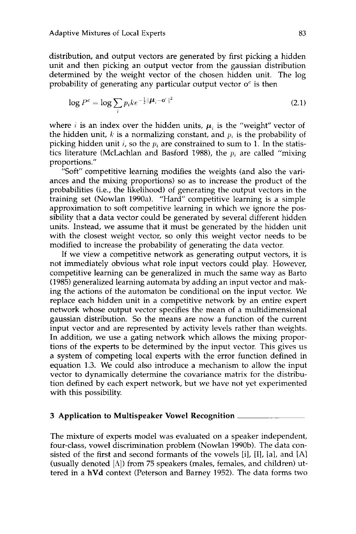distribution, and output vectors are generated by first picking a hidden unit and then picking an output vector from the gaussian distribution determined by the weight vector of the chosen hidden unit. The log probability of generating any particular output vector *0''* is then

$$
\log P^{c} = \log \sum_{i} p_{i} k e^{-\frac{1}{2} ||\boldsymbol{\mu}_{i} - \mathbf{o}^{c}||^{2}}
$$
\n(2.1)

where *i* is an index over the hidden units,  $\mu_i$  is the "weight" vector of the hidden unit, *k* is a normalizing constant, and *p,* is the probability of picking hidden unit  $i$ , so the  $p_i$  are constrained to sum to 1. In the statistics literature (McLachlan and Basford 1988), the  $p_i$  are called "mixing" proportions."

"Soft" competitive learning modifies the weights (and also the variances and the mixing proportions) so as to increase the product of the probabilities (i.e., the likelihood) of generating the output vectors in the training set (Nowlan 1990a). "Hard" competitive learning is a simple approximation to soft competitive learning in which we ignore the possibility that a data vector could be generated by several different hidden units. Instead, we assume that it must be generated by the hidden unit with the closest weight vector, so only this weight vector needs to be modified to increase the probability of generating the data vector.

If we view a competitive network as generating output vectors, it is not immediately obvious what role input vectors could play. However, competitive learning can be generalized in much the same way as Barto (1985) generalized learning automata by adding an input vector and making the actions of the automaton be conditional on the input vector. We replace each hidden unit in a competitive network by an entire expert network whose output vector specifies the mean of a multidimensional gaussian distribution. So the means are now a function of the current input vector and are represented by activity levels rather than weights. In addition, we use a gating network which allows the mixing proportions of the experts to be determined by the input vector. This gives us a system of competing local experts with the error function defined in equation 1.3. We could also introduce a mechanism to allow the input vector to dynamically determine the covariance matrix for the distribution defined by each expert network, but we have not yet experimented with this possibility.

### **3** Application to Multispeaker Vowel Recognition

The mixture of experts model was evaluated on a speaker independent, four-class, vowel discrimination problem (Nowlan 1990b). The data consisted of the first and second formants of the vowels [i], [I], [a], and **[A1**  (usually denoted  $[A]$ ) from 75 speakers (males, females, and children) uttered in a hVd context (Peterson and Barney 1952). The data forms two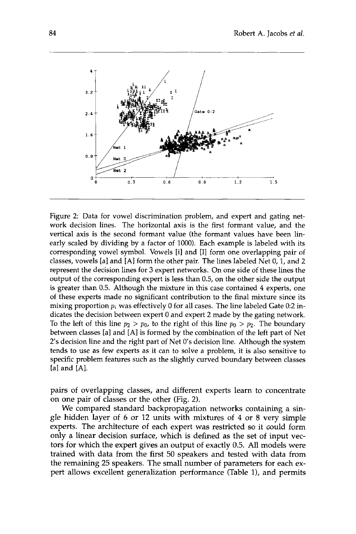

Figure **2:** Data for vowel discrimination problem, and expert and gating network decision lines. The horizontal axis is the first formant value, and the vertical axis is the second formant value (the formant values have been linearly scaled by dividing by a factor of 1000). Each example is labeled with its corresponding vowel symbol. Vowels [il and [I] form one overlapping pair of classes, vowels [a] and [A] form the other pair. The lines labeled Net 0, 1, and 2 represent the decision lines for **3** expert networks. On one side of these lines the output of the corresponding expert is less than 0.5, on the other side the output is greater than 0.5. Although the mixture in this case contained **4** experts, one of these experts made no significant contribution to the final mixture since its mixing proportion  $p_i$  was effectively 0 for all cases. The line labeled Gate 0:2 indicates the decision between expert 0 and expert 2 made by the gating network. To the left of this line  $p_2 > p_0$ , to the right of this line  $p_0 > p_2$ . The boundary between classes [a] and [A] is formed by the combination of the left part of Net 2's decision line and the right part of Net 0's decision line. Although the system tends to **use** as few experts as it can to solve a problem, it is also sensitive to specific problem features such as the slightly curved boundary between classes [a1 and [A].

pairs of overlapping classes, and different experts learn to concentrate on one pair of classes or the other (Fig. 2).

We compared standard backpropagation networks containing a single hidden layer of 6 or 12 units with mixtures of 4 or 8 very simple experts. The architecture of each expert was restricted so it could form only a linear decision surface, which is defined as the set of input vectors for which the expert gives an output of exactly 0.5. All models were trained with data from the first 50 speakers and tested with data from the remaining 25 speakers. The small number of parameters for each expert allows excellent generalization performance (Table l), and permits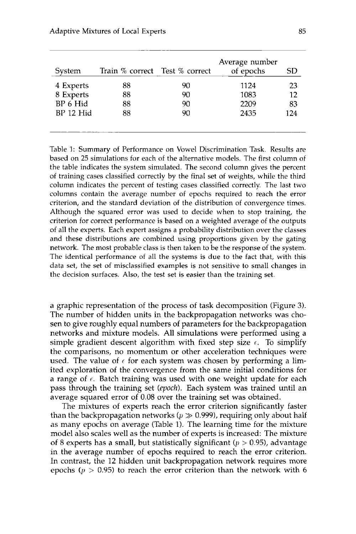| System    | Train % correct Test % correct |    | Average number<br>of epochs | SD  |
|-----------|--------------------------------|----|-----------------------------|-----|
| 4 Experts | 88                             | 90 | 1124                        | 23  |
| 8 Experts | 88                             | 90 | 1083                        | 12  |
| BP 6 Hid  | 88                             | 90 | 2209                        | 83  |
| BP 12 Hid | 88                             | 90 | 2435                        | 124 |
|           |                                |    |                             |     |

Table 1: Summary of Performance on Vowel Discrimination Task. Results are based on **25** simulations for each of the alternative models. The first column of the table indicates the system simulated. The second column gives the percent of training cases classified correctly by the final set of weights, while the third column indicates the percent of testing cases classified correctly. The last two columns contain the average number of epochs required to reach the error criterion, and the standard deviation of the distribution of convergence times. Although the squared error was used to decide when to stop training, the criterion for correct performance is based on a weighted average of the outputs of all the experts. Each expert assigns a probability distribution over the classes and these distributions are combined using proportions given by the gating network. The most probable class is then taken to be the response of the system. The identical performance of all the systems is due to the fact that, with this data set, the set of misclassified examples is not sensitive to small changes in the decision surfaces. Also, the test set is easier than the training set.

a graphic representation of the process of task decomposition (Figure 3). The number of hidden units in the backpropagation networks was chosen to give roughly equal numbers of parameters for the backpropagation networks and mixture models. All simulations were performed using a simple gradient descent algorithm with fixed step size  $\epsilon$ . To simplify the comparisons, no momentum or other acceleration techniques were used. The value of  $\epsilon$  for each system was chosen by performing a limited exploration of the convergence from the same initial conditions for a range of  $\epsilon$ . Batch training was used with one weight update for each pass through the training set *(epoch).* Each system was trained until an average squared error **of** 0.08 over the training set was obtained.

The mixtures of experts reach the error criterion significantly faster than the backpropagation networks ( $p \gg 0.999$ ), requiring only about half as many epochs on average (Table 1). The learning time for the mixture model also scales well as the number of experts is increased: The mixture of 8 experts has a small, but statistically significant ( $p > 0.95$ ), advantage in the average number of epochs required to reach the error criterion. In contrast, the 12 hidden unit backpropagation network requires more epochs ( $p > 0.95$ ) to reach the error criterion than the network with 6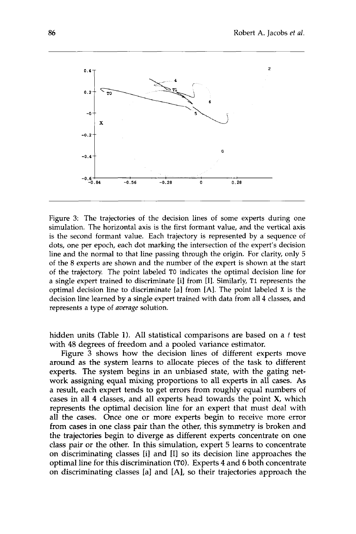

Figure **3:** The trajectories of the decision lines of some experts during one simulation. The horizontal axis is the first formant value, and the vertical axis is the second formant value. Each trajectory is represented by a sequence of dots, one per epoch, each dot marking the intersection of the expert's decision line and the normal to that line passing through the origin. For clarity, only 5 of the 8 experts are shown and the number of the expert is shown at the start of the trajectory. The point labeled TO indicates the optimal decision line for a single expert trained to discriminate [i] from **[I].** Similarly, T1 represents the optimal decision line to discriminate [a] from **[A].** The point labeled **X** is the decision line learned by a single expert trained with data from all 4 classes, and represents a type of *average* solution.

hidden units (Table **1).** All statistical comparisons are based on a *t* test with 48 degrees of freedom and a pooled variance estimator.

Figure **3** shows how the decision lines of different experts move around as the system learns to allocate pieces of the task to different experts. The system begins in an unbiased state, with the gating network assigning equal mixing proportions to all experts in all cases. As a result, each expert tends to get errors from roughly equal numbers of cases in all **4** classes, and all experts head towards the point **X,** which represents the optimal decision line for an expert that must deal with all the cases. Once one or more experts begin to receive more error from cases in one class pair than the other, this symmetry is broken and the trajectories begin to diverge as different experts concentrate on one class pair or the other. In this simulation, expert 5 learns to concentrate on discriminating classes [i] and [I] so its decision line approaches the optimal line for this discrimination (TO). Experts **4** and **6** both concentrate on discriminating classes [a] and [A], so their trajectories approach the